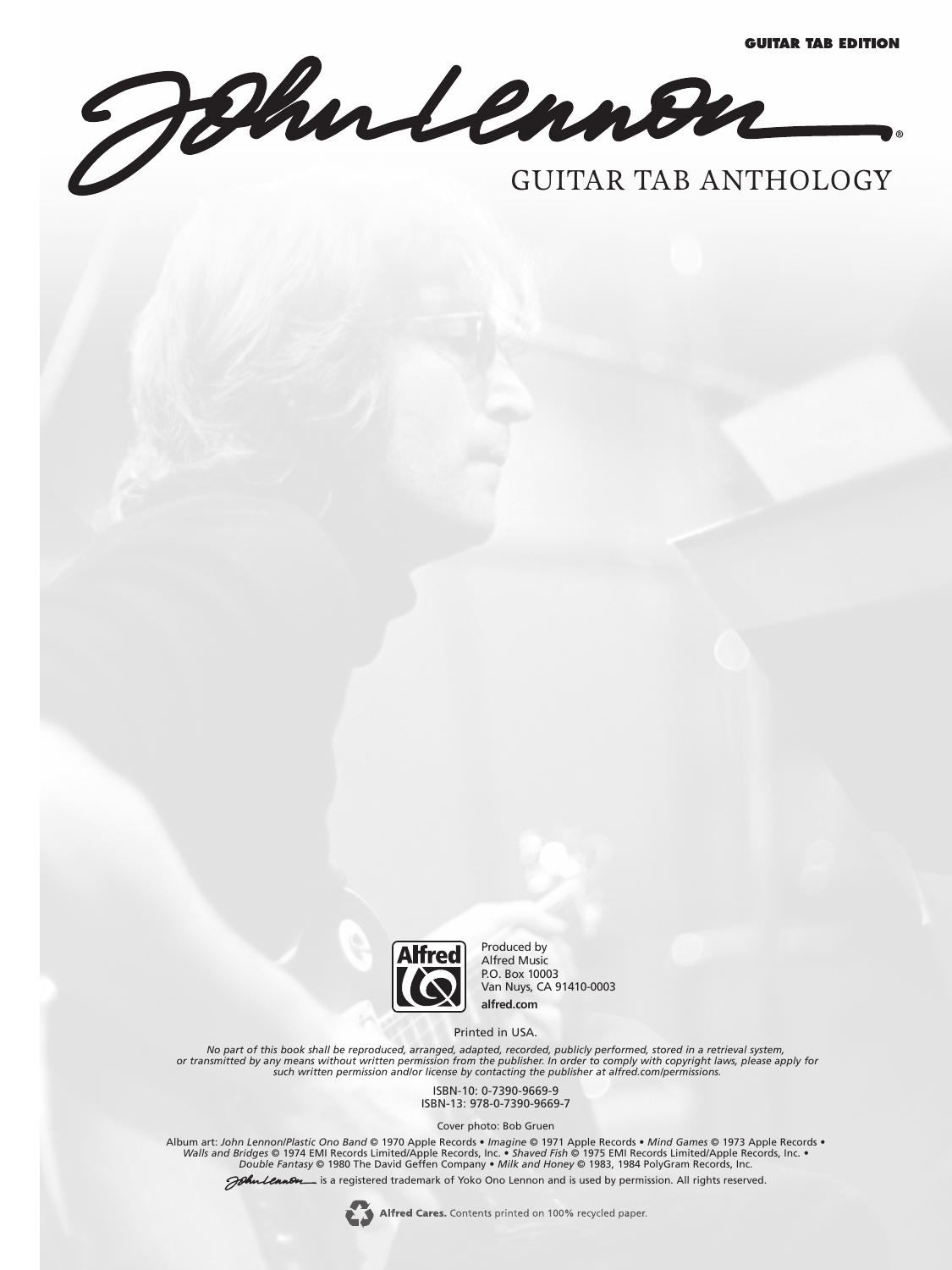GUITAR TAB ANTHOLOGY



Produced by Alfred Music P.O. Box 10003 Van Nuys, CA 91410-0003 **alfred.com**

Printed in USA.

*No part of this book shall be reproduced, arranged, adapted, recorded, publicly performed, stored in a retrieval system,* or transmitted by any means without written permission from the publisher. In order to comply with copyright laws, please apply for<br>such written permission and/or license by contacting the publisher at alfred.com/permissio

> ISBN-10: 0-7390-9669-9 ISBN-13: 978-0-7390-9669-7

> > Cover photo: Bob Gruen

Album art: *John Lennon/Plastic Ono Band* © 1970 Apple Records • *Imagine* © 1971 Apple Records • *Mind Games* © 1973 Apple Records • Walls and Bridges © 1974 EMI Records Limited/Apple Records, Inc. • Shaved Fish © 1975 EMI Records Limited/Apple Records, Inc. •<br>Double Fantasy © 1980 The David Geffen Company • Milk and Honey © 1983, 1984 PolyGram Records,

John Lennon is a registered trademark of Yoko Ono Lennon and is used by permission. All rights reserved.

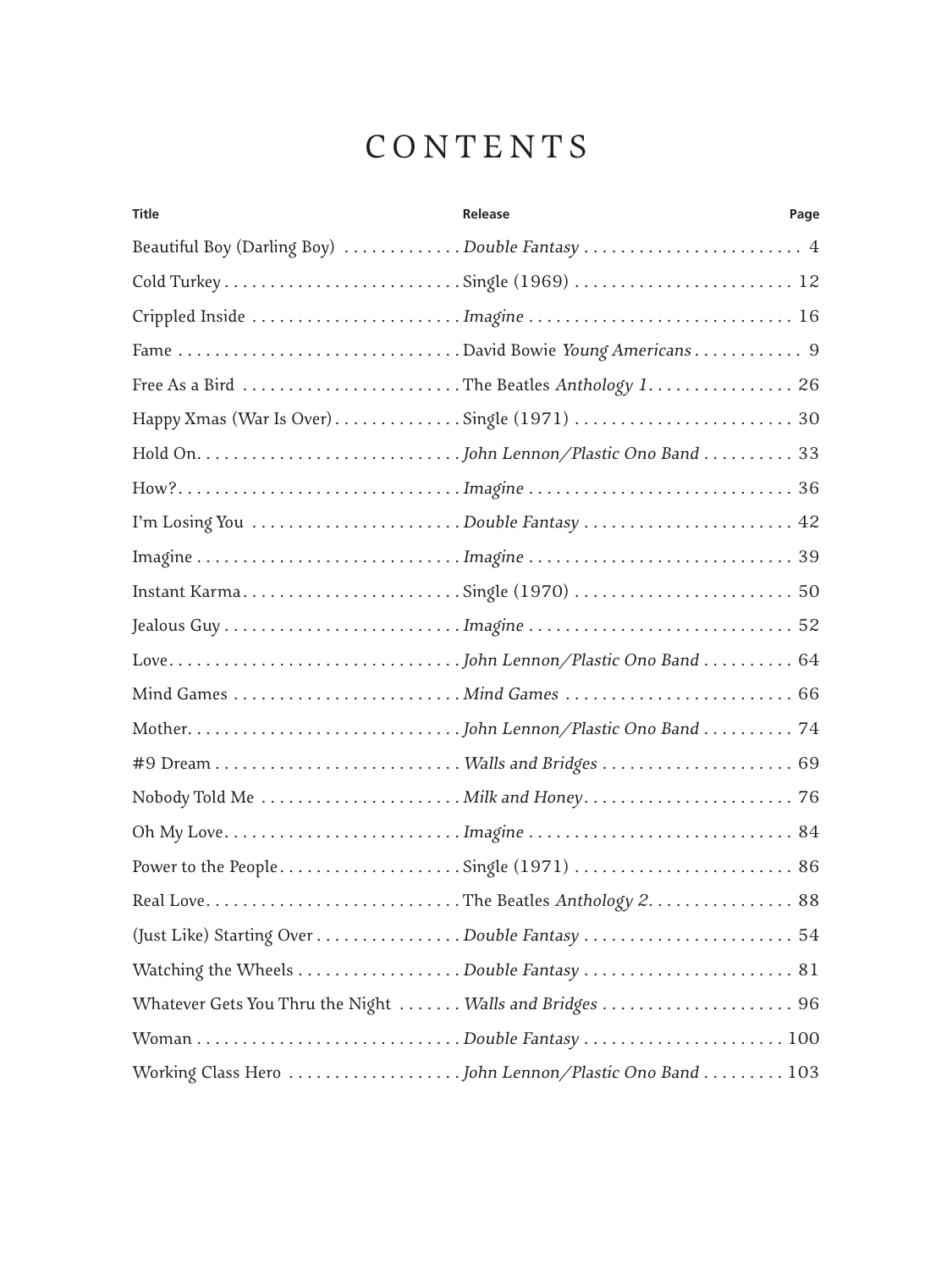## CONTENTS

| <b>Title</b> | <b>Release</b>                                          | Page |
|--------------|---------------------------------------------------------|------|
|              | Beautiful Boy (Darling Boy) Double Fantasy  4           |      |
|              | Cold TurkeySingle (1969)  12                            |      |
|              |                                                         |      |
|              | Fame David Bowie Young Americans 9                      |      |
|              | Free As a Bird The Beatles Anthology 1 26               |      |
|              |                                                         |      |
|              |                                                         |      |
|              |                                                         |      |
|              | I'm Losing You Double Fantasy  42                       |      |
|              |                                                         |      |
|              |                                                         |      |
|              |                                                         |      |
|              |                                                         |      |
|              |                                                         |      |
|              |                                                         |      |
|              |                                                         |      |
|              |                                                         |      |
|              |                                                         |      |
|              |                                                         |      |
|              |                                                         |      |
|              |                                                         |      |
|              |                                                         |      |
|              | Whatever Gets You Thru the Night  Walls and Bridges  96 |      |
|              |                                                         |      |
|              |                                                         |      |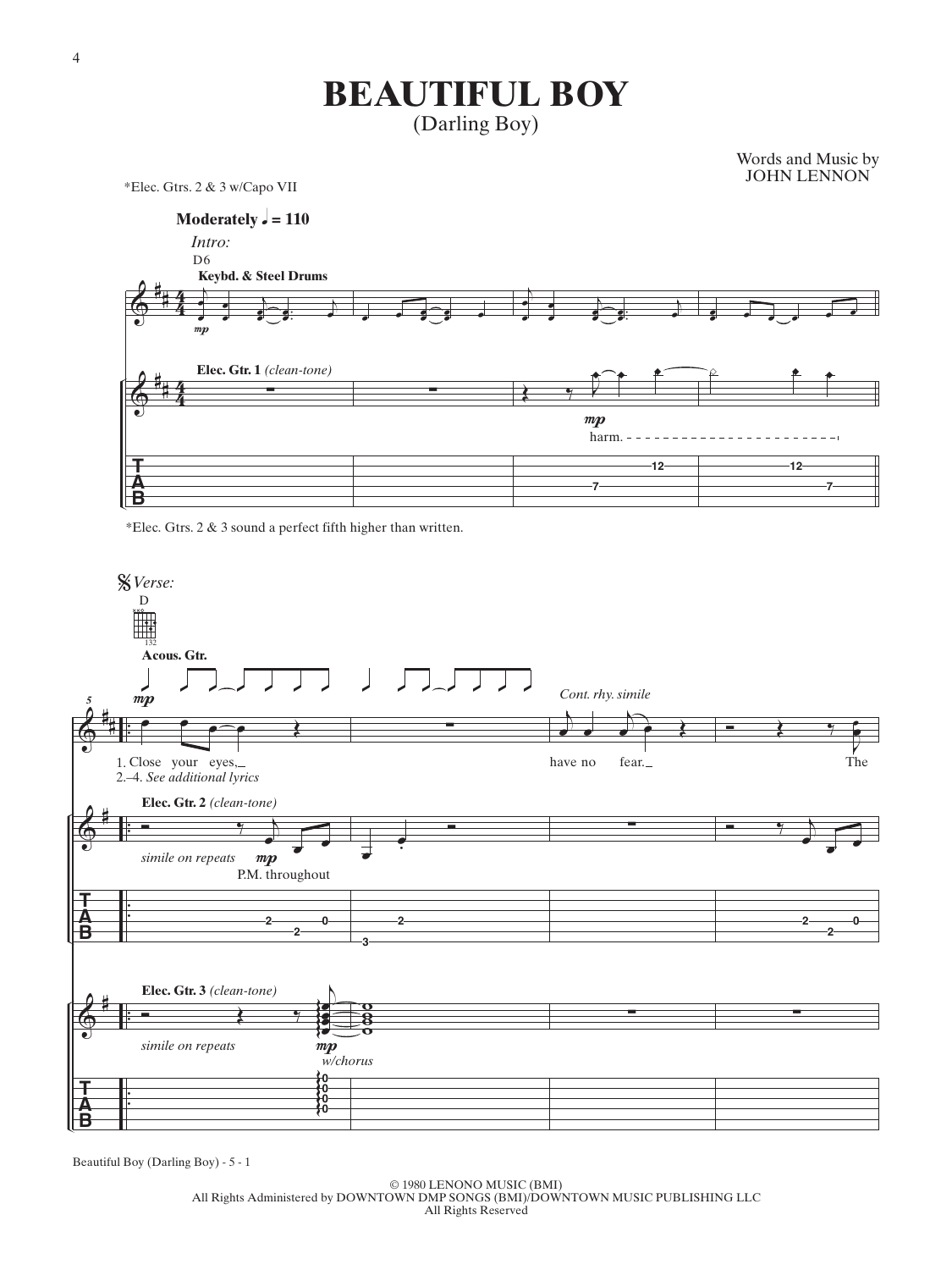## **BEAUTIFUL BOY**

(Darling Boy)

Words and Music by JOHN LENNON

\*Elec. Gtrs. 2 & 3 w/Capo VII



\*Elec. Gtrs. 2 & 3 sound a perfect fifth higher than written.



Beautiful Boy (Darling Boy) - 5 - 1